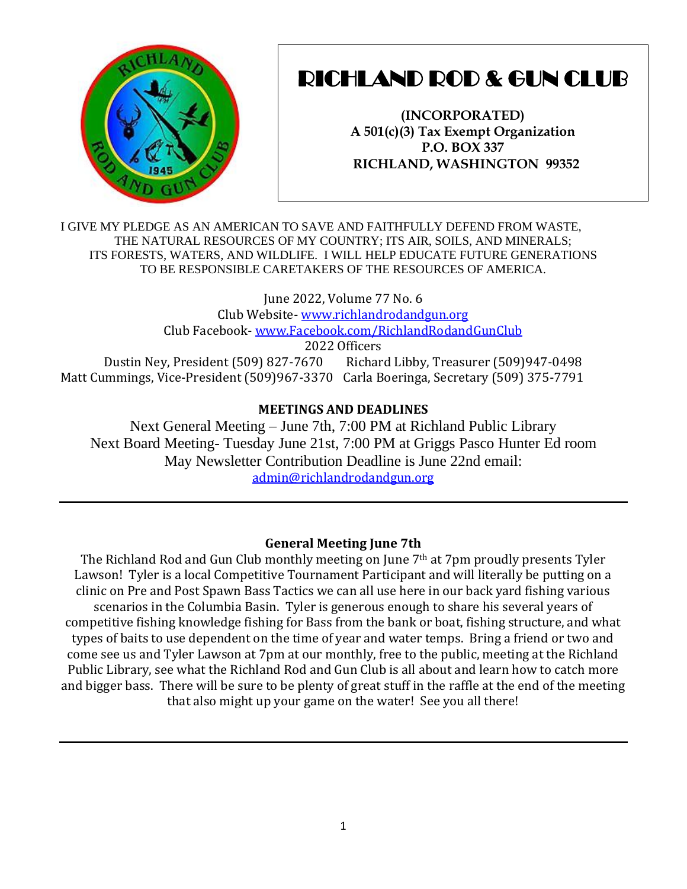

# RICHLAND ROD & GUN CLUB

**(INCORPORATED) A 501(c)(3) Tax Exempt Organization P.O. BOX 337 RICHLAND, WASHINGTON 99352**

I GIVE MY PLEDGE AS AN AMERICAN TO SAVE AND FAITHFULLY DEFEND FROM WASTE, THE NATURAL RESOURCES OF MY COUNTRY; ITS AIR, SOILS, AND MINERALS; ITS FORESTS, WATERS, AND WILDLIFE. I WILL HELP EDUCATE FUTURE GENERATIONS TO BE RESPONSIBLE CARETAKERS OF THE RESOURCES OF AMERICA.

June 2022, Volume 77 No. 6 Club Website- [www.richlandrodandgun.org](http://www.richlandrodandgun.org/) Club Facebook- [www.Facebook.com/RichlandRodandGunClub](http://www.facebook.com/RichlandRodandGunClub) 2022 Officers Dustin Ney, President (509) 827-7670 Richard Libby, Treasurer (509)947-0498 Matt Cummings, Vice-President (509)967-3370 Carla Boeringa, Secretary (509) 375-7791

## **MEETINGS AND DEADLINES**

Next General Meeting – June 7th, 7:00 PM at Richland Public Library Next Board Meeting- Tuesday June 21st, 7:00 PM at Griggs Pasco Hunter Ed room May Newsletter Contribution Deadline is June 22nd email: [admin@richlandrodandgun.org](mailto:admin@richlandrodandgun.org)

## **General Meeting June 7th**

The Richland Rod and Gun Club monthly meeting on June 7<sup>th</sup> at 7pm proudly presents Tyler Lawson! Tyler is a local Competitive Tournament Participant and will literally be putting on a clinic on Pre and Post Spawn Bass Tactics we can all use here in our back yard fishing various scenarios in the Columbia Basin. Tyler is generous enough to share his several years of competitive fishing knowledge fishing for Bass from the bank or boat, fishing structure, and what types of baits to use dependent on the time of year and water temps. Bring a friend or two and come see us and Tyler Lawson at 7pm at our monthly, free to the public, meeting at the Richland Public Library, see what the Richland Rod and Gun Club is all about and learn how to catch more and bigger bass. There will be sure to be plenty of great stuff in the raffle at the end of the meeting that also might up your game on the water! See you all there!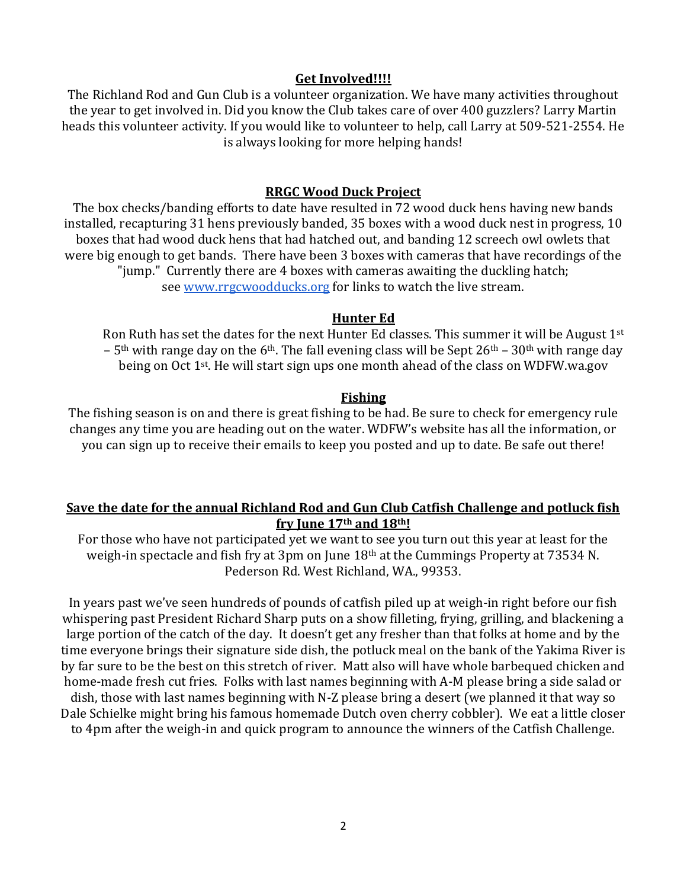### **Get Involved!!!!**

The Richland Rod and Gun Club is a volunteer organization. We have many activities throughout the year to get involved in. Did you know the Club takes care of over 400 guzzlers? Larry Martin heads this volunteer activity. If you would like to volunteer to help, call Larry at 509-521-2554. He is always looking for more helping hands!

## **RRGC Wood Duck Project**

The box checks/banding efforts to date have resulted in 72 wood duck hens having new bands installed, recapturing 31 hens previously banded, 35 boxes with a wood duck nest in progress, 10 boxes that had wood duck hens that had hatched out, and banding 12 screech owl owlets that were big enough to get bands. There have been 3 boxes with cameras that have recordings of the "jump." Currently there are 4 boxes with cameras awaiting the duckling hatch; see [www.rrgcwoodducks.org](http://www.rrgcwoodducks.org/) for links to watch the live stream.

#### **Hunter Ed**

Ron Ruth has set the dates for the next Hunter Ed classes. This summer it will be August 1st –  $5<sup>th</sup>$  with range day on the 6<sup>th</sup>. The fall evening class will be Sept 26<sup>th</sup> – 30<sup>th</sup> with range day being on Oct 1st. He will start sign ups one month ahead of the class on WDFW.wa.gov

#### **Fishing**

The fishing season is on and there is great fishing to be had. Be sure to check for emergency rule changes any time you are heading out on the water. WDFW's website has all the information, or you can sign up to receive their emails to keep you posted and up to date. Be safe out there!

## **Save the date for the annual Richland Rod and Gun Club Catfish Challenge and potluck fish fry June 17th and 18th!**

For those who have not participated yet we want to see you turn out this year at least for the weigh-in spectacle and fish fry at 3pm on June 18th at the Cummings Property at 73534 N. Pederson Rd. West Richland, WA., 99353.

In years past we've seen hundreds of pounds of catfish piled up at weigh-in right before our fish whispering past President Richard Sharp puts on a show filleting, frying, grilling, and blackening a large portion of the catch of the day. It doesn't get any fresher than that folks at home and by the time everyone brings their signature side dish, the potluck meal on the bank of the Yakima River is by far sure to be the best on this stretch of river. Matt also will have whole barbequed chicken and home-made fresh cut fries. Folks with last names beginning with A-M please bring a side salad or dish, those with last names beginning with N-Z please bring a desert (we planned it that way so Dale Schielke might bring his famous homemade Dutch oven cherry cobbler). We eat a little closer to 4pm after the weigh-in and quick program to announce the winners of the Catfish Challenge.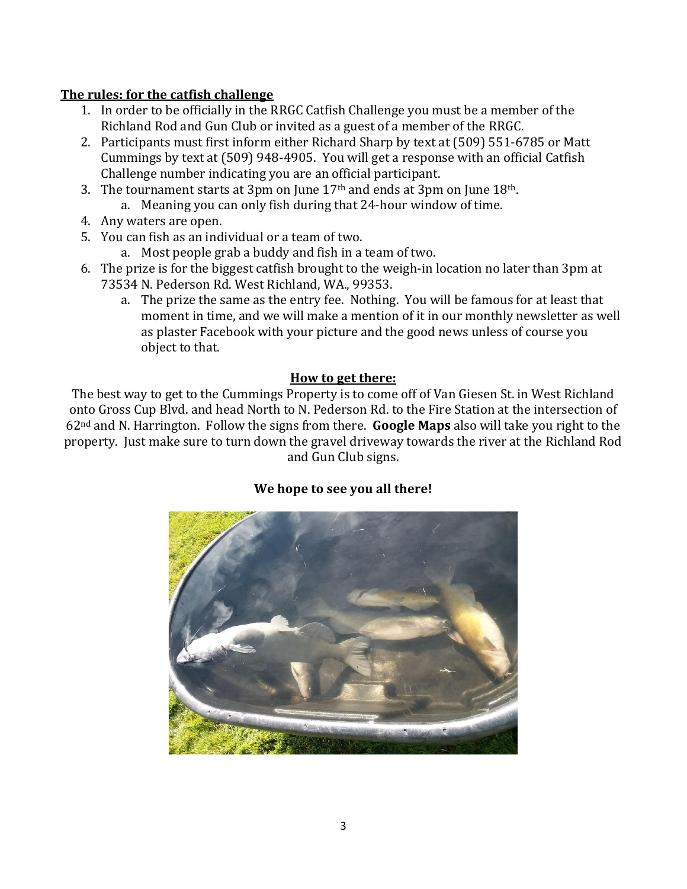## **The rules: for the catfish challenge**

- 1. In order to be officially in the RRGC Catfish Challenge you must be a member of the Richland Rod and Gun Club or invited as a guest of a member of the RRGC.
- 2. Participants must first inform either Richard Sharp by text at (509) 551-6785 or Matt Cummings by text at (509) 948-4905. You will get a response with an official Catfish Challenge number indicating you are an official participant.
- 3. The tournament starts at 3pm on June  $17<sup>th</sup>$  and ends at 3pm on June  $18<sup>th</sup>$ .
	- a. Meaning you can only fish during that 24-hour window of time.
- 4. Any waters are open.
- 5. You can fish as an individual or a team of two.
	- a. Most people grab a buddy and fish in a team of two.
- 6. The prize is for the biggest catfish brought to the weigh-in location no later than 3pm at 73534 N. Pederson Rd. West Richland, WA., 99353.
	- a. The prize the same as the entry fee. Nothing. You will be famous for at least that moment in time, and we will make a mention of it in our monthly newsletter as well as plaster Facebook with your picture and the good news unless of course you object to that.

## **How to get there:**

The best way to get to the Cummings Property is to come off of Van Giesen St. in West Richland onto Gross Cup Blvd. and head North to N. Pederson Rd. to the Fire Station at the intersection of 62nd and N. Harrington. Follow the signs from there. **Google Maps** also will take you right to the property. Just make sure to turn down the gravel driveway towards the river at the Richland Rod and Gun Club signs.

# **We hope to see you all there!**